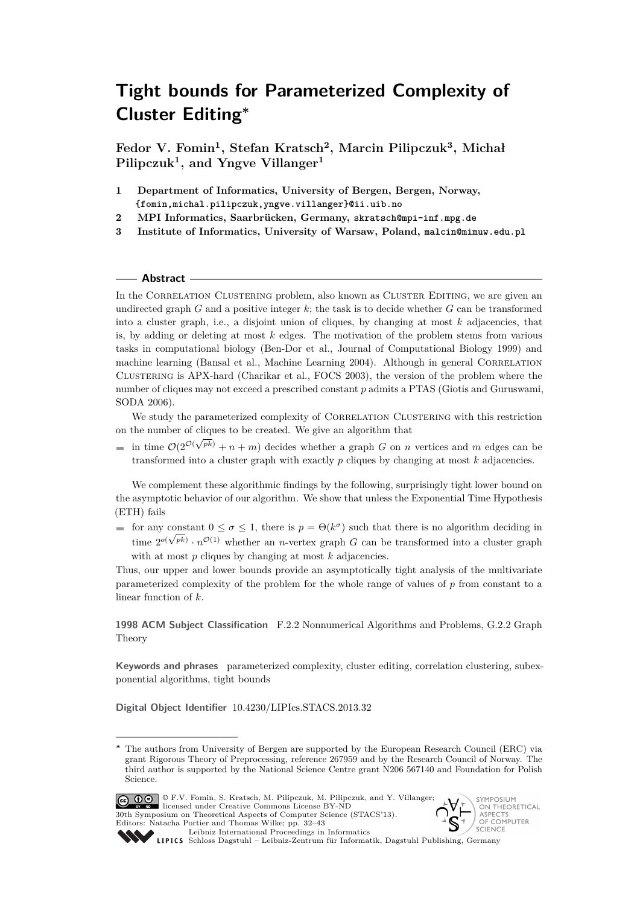**Fedor V. Fomin<sup>1</sup> , Stefan Kratsch<sup>2</sup> , Marcin Pilipczuk<sup>3</sup> , Michał Pilipczuk<sup>1</sup> , and Yngve Villanger<sup>1</sup>**

- **1 Department of Informatics, University of Bergen, Bergen, Norway, {fomin,michal.pilipczuk,yngve.villanger}@ii.uib.no**
- **2 MPI Informatics, Saarbrücken, Germany, skratsch@mpi-inf.mpg.de**
- **3 Institute of Informatics, University of Warsaw, Poland, malcin@mimuw.edu.pl**

#### **Abstract**

In the CORRELATION CLUSTERING problem, also known as CLUSTER EDITING, we are given an undirected graph *G* and a positive integer *k*; the task is to decide whether *G* can be transformed into a cluster graph, i.e., a disjoint union of cliques, by changing at most *k* adjacencies, that is, by adding or deleting at most *k* edges. The motivation of the problem stems from various tasks in computational biology (Ben-Dor et al., Journal of Computational Biology 1999) and machine learning (Bansal et al., Machine Learning 2004). Although in general CORRELATION Clustering is APX-hard (Charikar et al., FOCS 2003), the version of the problem where the number of cliques may not exceed a prescribed constant *p* admits a PTAS (Giotis and Guruswami, SODA 2006).

We study the parameterized complexity of CORRELATION CLUSTERING with this restriction on the number of cliques to be created. We give an algorithm that √

 $\overline{a}$ in time  $\mathcal{O}(2^{\mathcal{O}(n)})$  $p^{(p)}$  + *n* + *m*) decides whether a graph *G* on *n* vertices and *m* edges can be transformed into a cluster graph with exactly *p* cliques by changing at most *k* adjacencies.

We complement these algorithmic findings by the following, surprisingly tight lower bound on the asymptotic behavior of our algorithm. We show that unless the Exponential Time Hypothesis (ETH) fails

for any constant  $0 \le \sigma \le 1$ , there is  $p = \Theta(k^{\sigma})$  such that there is no algorithm deciding in time  $2^{o(\sqrt{pk})} \cdot n^{\mathcal{O}(1)}$  whether an *n*-vertex graph *G* can be transformed into a cluster graph with at most *p* cliques by changing at most *k* adjacencies.

Thus, our upper and lower bounds provide an asymptotically tight analysis of the multivariate parameterized complexity of the problem for the whole range of values of *p* from constant to a linear function of *k*.

**1998 ACM Subject Classification** F.2.2 Nonnumerical Algorithms and Problems, G.2.2 Graph Theory

**Keywords and phrases** parameterized complexity, cluster editing, correlation clustering, subexponential algorithms, tight bounds

**Digital Object Identifier** [10.4230/LIPIcs.STACS.2013.32](http://dx.doi.org/10.4230/LIPIcs.STACS.2013.32)

© F.V. Fomin, S. Kratsch, M. Pilipczuk, M. Pilipczuk, and Y. Villanger; licensed under Creative Commons License BY-ND 30th Symposium on Theoretical Aspects of Computer Science (STACS'13). Editors: Natacha Portier and Thomas Wilke; pp. 32[–43](#page-11-0)





[Leibniz International Proceedings in Informatics](http://www.dagstuhl.de/lipics/) Leibniz international Froceedings in missimosische Publishing, Germany<br>LIPICS [Schloss Dagstuhl – Leibniz-Zentrum für Informatik, Dagstuhl Publishing, Germany](http://www.dagstuhl.de)

The authors from University of Bergen are supported by the European Research Council (ERC) via grant Rigorous Theory of Preprocessing, reference 267959 and by the Research Council of Norway. The third author is supported by the National Science Centre grant N206 567140 and Foundation for Polish Science.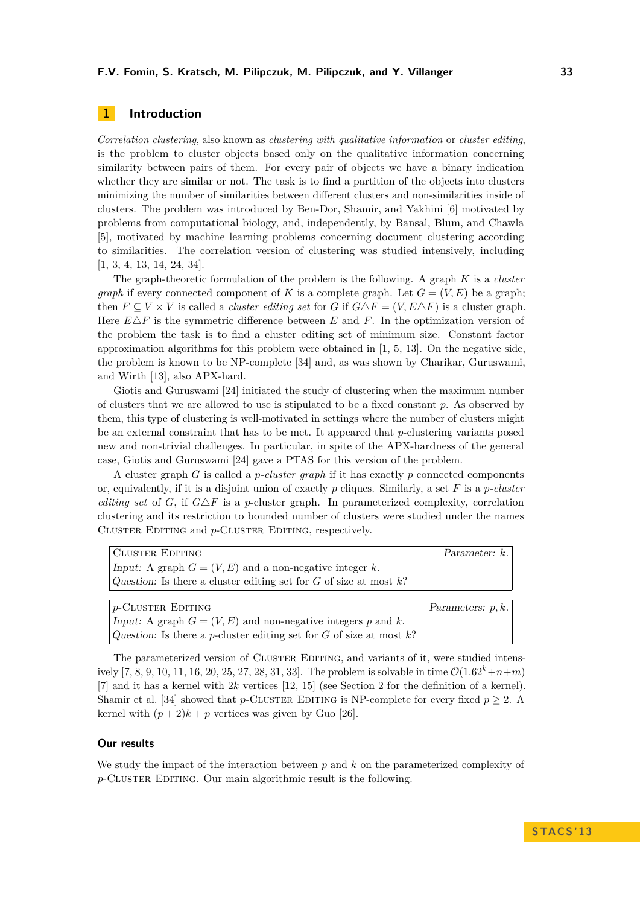# **1 Introduction**

*Correlation clustering*, also known as *clustering with qualitative information* or *cluster editing*, is the problem to cluster objects based only on the qualitative information concerning similarity between pairs of them. For every pair of objects we have a binary indication whether they are similar or not. The task is to find a partition of the objects into clusters minimizing the number of similarities between different clusters and non-similarities inside of clusters. The problem was introduced by Ben-Dor, Shamir, and Yakhini [\[6\]](#page-10-0) motivated by problems from computational biology, and, independently, by Bansal, Blum, and Chawla [\[5\]](#page-10-1), motivated by machine learning problems concerning document clustering according to similarities. The correlation version of clustering was studied intensively, including [\[1,](#page-10-2) [3,](#page-10-3) [4,](#page-10-4) [13,](#page-10-5) [14,](#page-10-6) [24,](#page-11-1) [34\]](#page-11-2).

The graph-theoretic formulation of the problem is the following. A graph *K* is a *cluster graph* if every connected component of *K* is a complete graph. Let  $G = (V, E)$  be a graph; then  $F \subseteq V \times V$  is called a *cluster editing set* for *G* if  $G \triangle F = (V, E \triangle F)$  is a cluster graph. Here  $E\Delta F$  is the symmetric difference between *E* and *F*. In the optimization version of the problem the task is to find a cluster editing set of minimum size. Constant factor approximation algorithms for this problem were obtained in  $[1, 5, 13]$  $[1, 5, 13]$  $[1, 5, 13]$  $[1, 5, 13]$  $[1, 5, 13]$ . On the negative side, the problem is known to be NP-complete [\[34\]](#page-11-2) and, as was shown by Charikar, Guruswami, and Wirth [\[13\]](#page-10-5), also APX-hard.

Giotis and Guruswami [\[24\]](#page-11-1) initiated the study of clustering when the maximum number of clusters that we are allowed to use is stipulated to be a fixed constant *p*. As observed by them, this type of clustering is well-motivated in settings where the number of clusters might be an external constraint that has to be met. It appeared that *p*-clustering variants posed new and non-trivial challenges. In particular, in spite of the APX-hardness of the general case, Giotis and Guruswami [\[24\]](#page-11-1) gave a PTAS for this version of the problem.

A cluster graph *G* is called a *p-cluster graph* if it has exactly *p* connected components or, equivalently, if it is a disjoint union of exactly *p* cliques. Similarly, a set *F* is a *p-cluster editing set* of *G*, if  $G \triangle F$  is a *p*-cluster graph. In parameterized complexity, correlation clustering and its restriction to bounded number of clusters were studied under the names Cluster Editing and *p*-Cluster Editing, respectively.

| <b>CLUSTER EDITING</b>                                            | Parameter: $k$ .     |
|-------------------------------------------------------------------|----------------------|
| Input: A graph $G = (V, E)$ and a non-negative integer k.         |                      |
| Question: Is there a cluster editing set for G of size at most k? |                      |
|                                                                   |                      |
| $p$ -Cluster Editing                                              | Parameters: $p, k$ . |
| Input: A graph $G = (V, E)$ and non-negative integers p and k.    |                      |

The parameterized version of CLUSTER EDITING, and variants of it, were studied intens-ively [\[7,](#page-10-7) [8,](#page-10-8) [9,](#page-10-9) [10,](#page-10-10) [11,](#page-10-11) [16,](#page-11-3) [20,](#page-11-4) [25,](#page-11-5) [27,](#page-11-6) [28,](#page-11-7) [31,](#page-11-8) [33\]](#page-11-9). The problem is solvable in time  $\mathcal{O}(1.62^k+n+m)$ [\[7\]](#page-10-7) and it has a kernel with 2*k* vertices [\[12,](#page-10-12) [15\]](#page-10-13) (see Section [2](#page-3-0) for the definition of a kernel). Shamir et al. [\[34\]](#page-11-2) showed that *p*-CLUSTER EDITING is NP-complete for every fixed  $p \geq 2$ . kernel with  $(p+2)k + p$  vertices was given by Guo [\[26\]](#page-11-10).

Question: Is there a *p*-cluster editing set for *G* of size at most *k*?

#### **Our results**

We study the impact of the interaction between *p* and *k* on the parameterized complexity of *p*-CLUSTER EDITING. Our main algorithmic result is the following.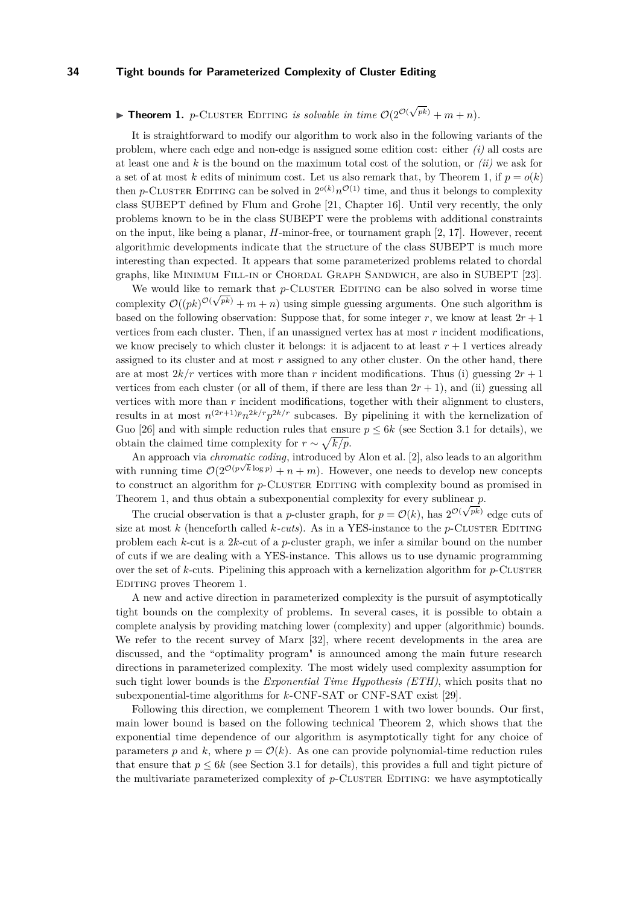#### <span id="page-2-0"></span>**Theorem 1.** *p*-CLUSTER EDITING *is solvable in time*  $O(2^{\mathcal{O}(n)})$ √  $p^{(p)} + m + n$ .

It is straightforward to modify our algorithm to work also in the following variants of the problem, where each edge and non-edge is assigned some edition cost: either *(i)* all costs are at least one and *k* is the bound on the maximum total cost of the solution, or *(ii)* we ask for a set of at most k edits of minimum cost. Let us also remark that, by Theorem [1,](#page-2-0) if  $p = o(k)$ then *p*-CLUSTER EDITING can be solved in  $2^{o(k)}n^{\mathcal{O}(1)}$  time, and thus it belongs to complexity class SUBEPT defined by Flum and Grohe [\[21,](#page-11-11) Chapter 16]. Until very recently, the only problems known to be in the class SUBEPT were the problems with additional constraints on the input, like being a planar, *H*-minor-free, or tournament graph [\[2,](#page-10-14) [17\]](#page-11-12). However, recent algorithmic developments indicate that the structure of the class SUBEPT is much more interesting than expected. It appears that some parameterized problems related to chordal graphs, like Minimum Fill-in or Chordal Graph Sandwich, are also in SUBEPT [\[23\]](#page-11-13).

We would like to remark that  $p$ -CLUSTER EDITING can be also solved in worse time complexity  $\mathcal{O}((pk)^{\mathcal{O}(\sqrt{pk}}) + m + n)$  using simple guessing arguments. One such algorithm is based on the following observation: Suppose that, for some integer  $r$ , we know at least  $2r + 1$ vertices from each cluster. Then, if an unassigned vertex has at most *r* incident modifications, we know precisely to which cluster it belongs: it is adjacent to at least  $r + 1$  vertices already assigned to its cluster and at most *r* assigned to any other cluster. On the other hand, there are at most  $2k/r$  vertices with more than r incident modifications. Thus (i) guessing  $2r + 1$ vertices from each cluster (or all of them, if there are less than  $2r + 1$ ), and (ii) guessing all vertices with more than *r* incident modifications, together with their alignment to clusters, results in at most  $n^{(2r+1)p}n^{2k/r}p^{2k/r}$  subcases. By pipelining it with the kernelization of Guo [\[26\]](#page-11-10) and with simple reduction rules that ensure  $p \leq 6k$  (see Section [3.1](#page-4-0) for details), we obtain the claimed time complexity for  $r \sim \sqrt{k/p}$ .

An approach via *chromatic coding*, introduced by Alon et al. [\[2\]](#page-10-14), also leads to an algorithm with running time  $O(2^{O(p\sqrt{k}\log p)} + n + m)$ . However, one needs to develop new concepts to construct an algorithm for *p*-CLUSTER EDITING with complexity bound as promised in Theorem [1,](#page-2-0) and thus obtain a subexponential complexity for every sublinear  $\overline{p}$ .

The crucial observation is that a *p*-cluster graph, for  $p = \mathcal{O}(k)$ , has  $2^{\mathcal{O}(\sqrt{pk})}$  edge cuts of size at most *k* (henceforth called *k*-cuts). As in a YES-instance to the *p*-CLUSTER EDITING problem each *k*-cut is a 2*k*-cut of a *p*-cluster graph, we infer a similar bound on the number of cuts if we are dealing with a YES-instance. This allows us to use dynamic programming over the set of  $k$ -cuts. Pipelining this approach with a kernelization algorithm for  $p$ -CLUSTER Editing proves Theorem [1.](#page-2-0)

A new and active direction in parameterized complexity is the pursuit of asymptotically tight bounds on the complexity of problems. In several cases, it is possible to obtain a complete analysis by providing matching lower (complexity) and upper (algorithmic) bounds. We refer to the recent survey of Marx [\[32\]](#page-11-14), where recent developments in the area are discussed, and the "optimality program" is announced among the main future research directions in parameterized complexity. The most widely used complexity assumption for such tight lower bounds is the *Exponential Time Hypothesis (ETH)*, which posits that no subexponential-time algorithms for *k*-CNF-SAT or CNF-SAT exist [\[29\]](#page-11-15).

Following this direction, we complement Theorem [1](#page-2-0) with two lower bounds. Our first, main lower bound is based on the following technical Theorem [2,](#page-3-1) which shows that the exponential time dependence of our algorithm is asymptotically tight for any choice of parameters p and k, where  $p = \mathcal{O}(k)$ . As one can provide polynomial-time reduction rules that ensure that  $p \leq 6k$  (see Section [3.1](#page-4-0) for details), this provides a full and tight picture of the multivariate parameterized complexity of p-CLUSTER EDITING: we have asymptotically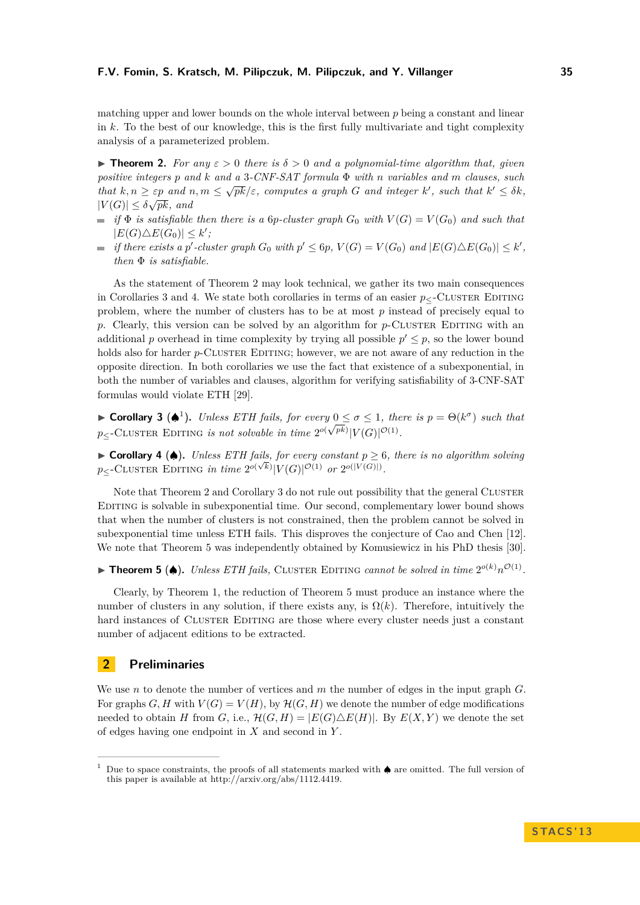matching upper and lower bounds on the whole interval between *p* being a constant and linear in *k*. To the best of our knowledge, this is the first fully multivariate and tight complexity analysis of a parameterized problem.

<span id="page-3-1"></span>**Figure 12.** For any  $\varepsilon > 0$  there is  $\delta > 0$  and a polynomial-time algorithm that, given *positive integers p and k and a* 3*-CNF-SAT formula* Φ *with n variables and m clauses, such* √ *that*  $k, n \geq \varepsilon p$  *and*  $n, m \leq \sqrt{pk}/\varepsilon$ , computes a graph *G* and integer  $k'$ , such that  $k' \leq \delta k$ ,  $|V(G)| \leq \delta \sqrt{pk}$ , and

- $\blacksquare$  *if*  $\Phi$  *is satisfiable then there is a 6p-cluster graph*  $G_0$  *with*  $V(G) = V(G_0)$  *and such that*  $|E(G) \triangle E(G_0)| \leq k'$ ;
- if there exists a p'-cluster graph  $G_0$  with  $p' \leq 6p$ ,  $V(G) = V(G_0)$  and  $|E(G) \triangle E(G_0)| \leq k'$ , *then* Φ *is satisfiable.*

As the statement of Theorem [2](#page-3-1) may look technical, we gather its two main consequences in Corollaries [3](#page-3-2) and [4.](#page-3-3) We state both corollaries in terms of an easier  $p_{\leq}$ -CLUSTER EDITING problem, where the number of clusters has to be at most *p* instead of precisely equal to *p*. Clearly, this version can be solved by an algorithm for *p*-CLUSTER EDITING with an additional *p* overhead in time complexity by trying all possible  $p' \leq p$ , so the lower bound holds also for harder *p*-CLUSTER EDITING; however, we are not aware of any reduction in the opposite direction. In both corollaries we use the fact that existence of a subexponential, in both the number of variables and clauses, algorithm for verifying satisfiability of 3-CNF-SAT formulas would violate ETH [\[29\]](#page-11-15).

<span id="page-3-2"></span> $\blacktriangleright$  **Corollary 3** ( $\spadesuit$ <sup>[1](#page-3-4)</sup>). *Unless ETH fails, for every* 0 ≤ σ ≤ 1*, there is*  $p = \Theta(k^{\sigma})$  *such that*  $p_{\leq}$ -Cluster Editing *is not solvable in time*  $2^{o(\sqrt{pk})}|V(G)|^{\mathcal{O}(1)}$ .

<span id="page-3-3"></span>► **Corollary 4 (♦).** *Unless ETH fails, for every constant*  $p \geq 6$ *, there is no algorithm solving*  $p_{\le}$ -Cluster Editing *in time*  $2^{o(\sqrt{k})}|V(G)|^{\mathcal{O}(1)}$  *or*  $2^{o(|V(G)|)}$ .

Note that Theorem [2](#page-3-1) and Corollary [3](#page-3-2) do not rule out possibility that the general CLUSTER Editing is solvable in subexponential time. Our second, complementary lower bound shows that when the number of clusters is not constrained, then the problem cannot be solved in subexponential time unless ETH fails. This disproves the conjecture of Cao and Chen [\[12\]](#page-10-12). We note that Theorem [5](#page-3-5) was independently obtained by Komusiewicz in his PhD thesis [\[30\]](#page-11-16).

<span id="page-3-5"></span>▶ **Theorem 5 (♦).** *Unless ETH fails,* CLUSTER EDITING *cannot be solved in time*  $2^{o(k)}n^{O(1)}$ *.* 

Clearly, by Theorem [1,](#page-2-0) the reduction of Theorem [5](#page-3-5) must produce an instance where the number of clusters in any solution, if there exists any, is  $\Omega(k)$ . Therefore, intuitively the hard instances of CLUSTER EDITING are those where every cluster needs just a constant number of adjacent editions to be extracted.

# <span id="page-3-0"></span>**2 Preliminaries**

We use *n* to denote the number of vertices and *m* the number of edges in the input graph *G*. For graphs *G*, *H* with  $V(G) = V(H)$ , by  $H(G, H)$  we denote the number of edge modifications needed to obtain *H* from *G*, i.e.,  $\mathcal{H}(G, H) = |E(G) \triangle E(H)|$ . By  $E(X, Y)$  we denote the set of edges having one endpoint in *X* and second in *Y* .

<span id="page-3-4"></span><sup>1</sup> Due to space constraints, the proofs of all statements marked with ♠ are omitted. The full version of this paper is available at http://arxiv.org/abs/1112.4419.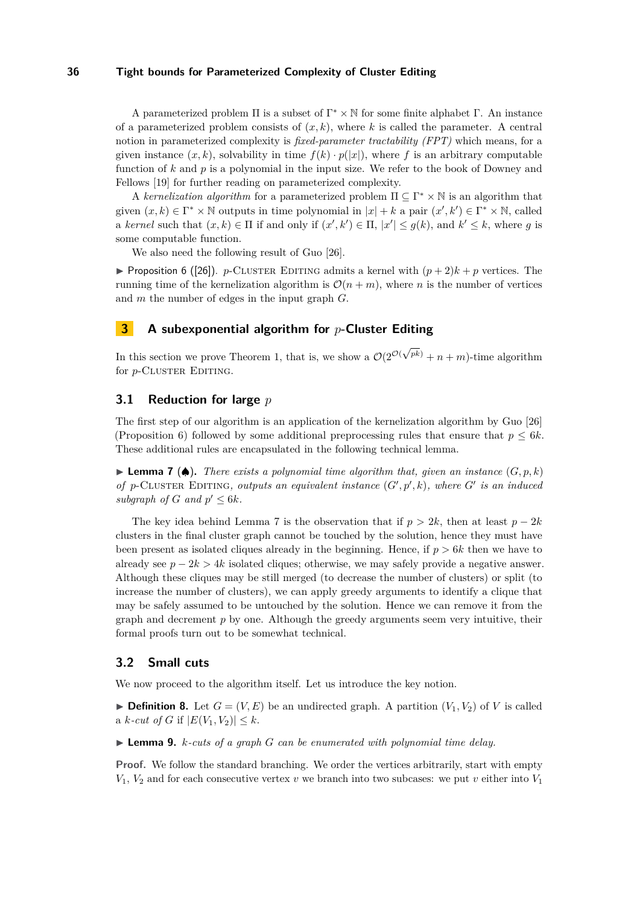A parameterized problem  $\Pi$  is a subset of  $\Gamma^* \times \mathbb{N}$  for some finite alphabet  $\Gamma$ . An instance of a parameterized problem consists of  $(x, k)$ , where k is called the parameter. A central notion in parameterized complexity is *fixed-parameter tractability (FPT)* which means, for a given instance  $(x, k)$ , solvability in time  $f(k) \cdot p(|x|)$ , where f is an arbitrary computable function of *k* and *p* is a polynomial in the input size. We refer to the book of Downey and Fellows [\[19\]](#page-11-17) for further reading on parameterized complexity.

A *kernelization algorithm* for a parameterized problem  $\Pi \subseteq \Gamma^* \times \mathbb{N}$  is an algorithm that given  $(x, k) \in \Gamma^* \times \mathbb{N}$  outputs in time polynomial in  $|x| + k$  a pair  $(x', k') \in \Gamma^* \times \mathbb{N}$ , called a *kernel* such that  $(x, k) \in \Pi$  if and only if  $(x', k') \in \Pi$ ,  $|x'| \le g(k)$ , and  $k' \le k$ , where g is some computable function.

We also need the following result of Guo [\[26\]](#page-11-10).

<span id="page-4-1"></span>**Proposition 6 ([\[26\]](#page-11-10)).** *p*-CLUSTER EDITING admits a kernel with  $(p+2)k + p$  vertices. The running time of the kernelization algorithm is  $\mathcal{O}(n+m)$ , where *n* is the number of vertices and *m* the number of edges in the input graph *G*.

# **3 A subexponential algorithm for** *p***-Cluster Editing**

In this section we prove Theorem [1,](#page-2-0) that is, we show a  $\mathcal{O}(2^{\mathcal{O}(n)})$ √  $(p^k) + n + m$ -time algorithm for *p*-CLUSTER EDITING.

## <span id="page-4-0"></span>**3.1 Reduction for large** *p*

The first step of our algorithm is an application of the kernelization algorithm by Guo [\[26\]](#page-11-10) (Proposition [6\)](#page-4-1) followed by some additional preprocessing rules that ensure that  $p \leq 6k$ . These additional rules are encapsulated in the following technical lemma.

<span id="page-4-2"></span>**Lemma 7** ( $\spadesuit$ ). There exists a polynomial time algorithm that, given an instance  $(G, p, k)$ *of*  $p$ -CLUSTER EDITING, outputs an equivalent instance  $(G', p', k)$ , where  $G'$  is an induced subgraph of  $G$  and  $p' \leq 6k$ .

The key idea behind Lemma [7](#page-4-2) is the observation that if  $p > 2k$ , then at least  $p - 2k$ clusters in the final cluster graph cannot be touched by the solution, hence they must have been present as isolated cliques already in the beginning. Hence, if *p >* 6*k* then we have to already see  $p - 2k > 4k$  isolated cliques; otherwise, we may safely provide a negative answer. Although these cliques may be still merged (to decrease the number of clusters) or split (to increase the number of clusters), we can apply greedy arguments to identify a clique that may be safely assumed to be untouched by the solution. Hence we can remove it from the graph and decrement *p* by one. Although the greedy arguments seem very intuitive, their formal proofs turn out to be somewhat technical.

#### **3.2 Small cuts**

We now proceed to the algorithm itself. Let us introduce the key notion.

**Definition 8.** Let  $G = (V, E)$  be an undirected graph. A partition  $(V_1, V_2)$  of V is called a *k*-*cut* of *G* if  $|E(V_1, V_2)| \leq k$ .

 $\blacktriangleright$  **Lemma 9.** *k*-cuts of a graph G can be enumerated with polynomial time delay.

**Proof.** We follow the standard branching. We order the vertices arbitrarily, start with empty  $V_1$ ,  $V_2$  and for each consecutive vertex *v* we branch into two subcases: we put *v* either into  $V_1$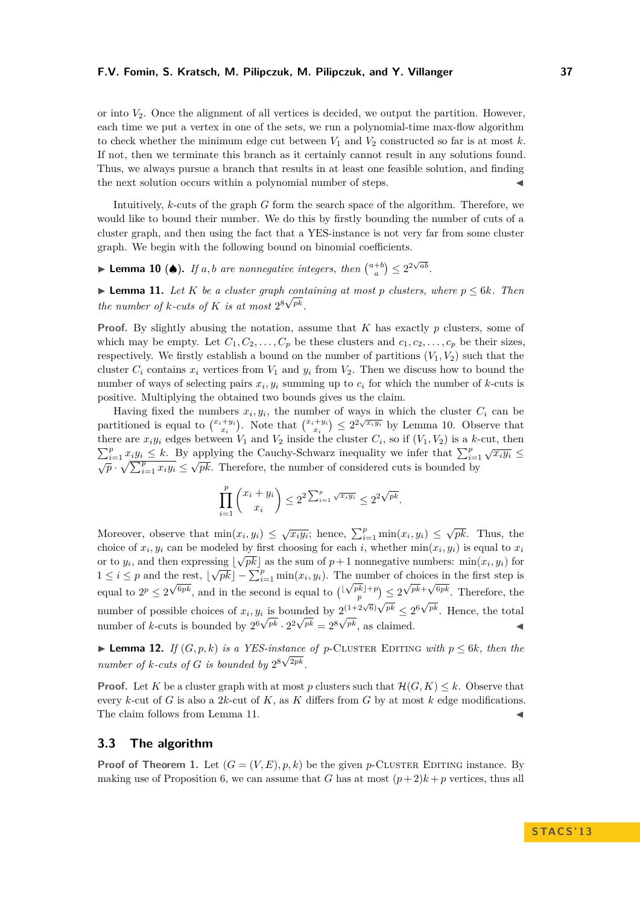or into  $V_2$ . Once the alignment of all vertices is decided, we output the partition. However, each time we put a vertex in one of the sets, we run a polynomial-time max-flow algorithm to check whether the minimum edge cut between  $V_1$  and  $V_2$  constructed so far is at most  $k$ . If not, then we terminate this branch as it certainly cannot result in any solutions found. Thus, we always pursue a branch that results in at least one feasible solution, and finding the next solution occurs within a polynomial number of steps.

Intuitively, *k*-cuts of the graph *G* form the search space of the algorithm. Therefore, we would like to bound their number. We do this by firstly bounding the number of cuts of a cluster graph, and then using the fact that a YES-instance is not very far from some cluster graph. We begin with the following bound on binomial coefficients.

<span id="page-5-0"></span>► Lemma 10 (♦). If a, b are nonnegative integers, then  $\binom{a+b}{a}$   $\leq 2^{2\sqrt{ab}}$ .

<span id="page-5-1"></span>▶ **Lemma 11.** *Let K be a cluster graph containing at most p clusters, where*  $p ≤ 6k$ *. Then the number of k-cuts of K is at most*  $2^8 \sqrt{pk}$ *.* 

**Proof.** By slightly abusing the notation, assume that *K* has exactly *p* clusters, some of which may be empty. Let  $C_1, C_2, \ldots, C_p$  be these clusters and  $c_1, c_2, \ldots, c_p$  be their sizes, respectively. We firstly establish a bound on the number of partitions  $(V_1, V_2)$  such that the cluster  $C_i$  contains  $x_i$  vertices from  $V_1$  and  $y_i$  from  $V_2$ . Then we discuss how to bound the number of ways of selecting pairs  $x_i, y_i$  summing up to  $c_i$  for which the number of *k*-cuts is positive. Multiplying the obtained two bounds gives us the claim.

Having fixed the numbers  $x_i, y_i$ , the number of ways in which the cluster  $C_i$  can be partitioned is equal to  $\binom{x_i+y_i}{x_i}$ . Note that  $\binom{x_i+y_i}{x_i} \leq 2^{2\sqrt{x_i y_i}}$  by Lemma [10.](#page-5-0) Observe that there are  $x_i y_i$  edges between  $V_1$  and  $V_2$  inside the cluster  $C_i$ , so if  $(V_1, V_2)$  is a *k*-cut, then  $\sum_{i=1}^p x_i y_i \leq k$ . By applying the Cauchy-Schwarz inequality we infer that  $\sum_{i=1}^p \sqrt{x_i y_i} \leq$  $\sqrt{p} \cdot \sqrt{\sum_{i=1}^{p} x_i y_i} \leq \sqrt{pk}$ . Therefore, the number of considered cuts is bounded by

$$
\prod_{i=1}^p \binom{x_i + y_i}{x_i} \le 2^2 \sum_{i=1}^p \sqrt{x_i y_i} \le 2^{2\sqrt{pk}}.
$$

Moreover, observe that  $\min(x_i, y_i) \leq \sqrt{x_i y_i}$ ; hence,  $\sum_{i=1}^p \min(x_i, y_i) \leq \sqrt{pk}$ . Thus, the choice of  $x_i, y_i$  can be modeled by first choosing for each *i*, whether  $min(x_i, y_i)$  is equal to  $x_i$ or to  $y_i$ , and then expressing  $\lfloor \sqrt{pk} \rfloor$  as the sum of  $p + 1$  nonnegative numbers: min $(x_i, y_i)$  for  $1 \leq i \leq p$  and the rest,  $\lfloor \sqrt{pk} \rfloor - \sum_{i=1}^{p} \min(x_i, y_i)$ . The number of choices in the first step is equal to  $2^p \leq 2^{\sqrt{6}pk}$ , and in the second is equal to  $\left(\frac{\lfloor \sqrt{pk} \rfloor + p}{p}\right) \leq 2^{\sqrt{pk} + \sqrt{6pk}}$ . Therefore, the number of possible choices of  $x_i, y_i$  is bounded by  $2^{(1+2\sqrt{6})\sqrt{pk}} \leq 2^6\sqrt{p}$  $\gamma_i$  is bounded by  $2^{(1+2\sqrt{6})\sqrt{pk}} \leq 2^{6\sqrt{pk}}$ . Hence, the total number of *k*-cuts is bounded by  $2^6 \sqrt{p^k} \cdot 2^2 \sqrt{p^k} = 2^8 \sqrt{p^k}$ , as claimed.

<span id="page-5-2"></span>▶ **Lemma 12.** *If*  $(G, p, k)$  *is a YES-instance of p*-CLUSTER EDITING *with*  $p ≤ 6k$ *, then the number of*  $k$ *-cuts of*  $G$  *is bounded by*  $2^{8\sqrt{2pk}}$ *.* 

**Proof.** Let K be a cluster graph with at most p clusters such that  $\mathcal{H}(G, K) \leq k$ . Observe that every *k*-cut of *G* is also a 2*k*-cut of *K*, as *K* differs from *G* by at most *k* edge modifications. The claim follows from Lemma [11.](#page-5-1)  $\blacksquare$ 

#### **3.3 The algorithm**

**Proof of Theorem [1.](#page-2-0)** Let  $(G = (V, E), p, k)$  be the given *p*-CLUSTER EDITING instance. By making use of Proposition [6,](#page-4-1) we can assume that *G* has at most  $(p+2)k + p$  vertices, thus all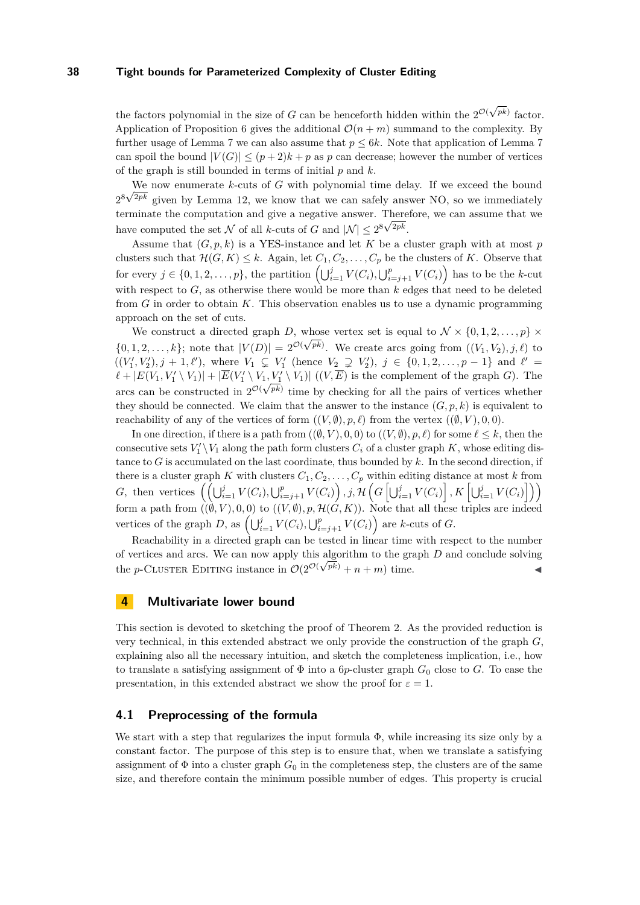the factors polynomial in the size of *G* can be henceforth hidden within the  $2^{\mathcal{O}(\sqrt{pk})}$  factor. Application of Proposition [6](#page-4-1) gives the additional  $\mathcal{O}(n+m)$  summand to the complexity. By further usage of Lemma [7](#page-4-2) we can also assume that *p* ≤ 6*k*. Note that application of Lemma [7](#page-4-2) can spoil the bound  $|V(G)| \leq (p+2)k + p$  as p can decrease; however the number of vertices of the graph is still bounded in terms of initial *p* and *k*.

We now enumerate *k*-cuts of *G* with polynomial time delay. If we exceed the bound  $2^8\sqrt{ }$  $^{2pk}$  given by Lemma [12,](#page-5-2) we know that we can safely answer NO, so we immediately terminate the computation and give a negative answer. Therefore, we can assume that we have computed the set N of all k-cuts of G and  $|\mathcal{N}| \leq 2^{8\sqrt{2pk}}$ .

Assume that  $(G, p, k)$  is a YES-instance and let K be a cluster graph with at most p clusters such that  $\mathcal{H}(G, K) \leq k$ . Again, let  $C_1, C_2, \ldots, C_p$  be the clusters of K. Observe that for every  $j \in \{0, 1, 2, \ldots, p\}$ , the partition  $\left(\bigcup_{i=1}^{j} V(C_i), \bigcup_{i=j+1}^{p} V(C_i)\right)$  has to be the *k*-cut with respect to  $G$ , as otherwise there would be more than  $k$  edges that need to be deleted from *G* in order to obtain *K*. This observation enables us to use a dynamic programming approach on the set of cuts.

We construct a directed graph *D*, whose vertex set is equal to  $\mathcal{N} \times \{0, 1, 2, \ldots, p\} \times$  $\{0, 1, 2, \ldots, k\}$ ; note that  $|V(D)| = 2^{\mathcal{O}(\sqrt{pk})}$ . We create arcs going from  $((V_1, V_2), j, \ell)$  to  $((V'_1, V'_2), j + 1, \ell')$ , where  $V_1 \subsetneq V'_1$  (hence  $V_2 \supsetneq V'_2$ ),  $j \in \{0, 1, 2, ..., p - 1\}$  and  $\ell' =$  $\ell + |E(V_1, V'_1 \setminus V_1)| + |\overline{E}(V'_1 \setminus V_1, V'_1 \setminus V_1)| ((V, \overline{E})$  is the complement of the graph *G*). The arcs can be constructed in  $2^{\mathcal{O}(\sqrt{pk})}$  time by checking for all the pairs of vertices whether they should be connected. We claim that the answer to the instance  $(G, p, k)$  is equivalent to reachability of any of the vertices of form  $((V, \emptyset), p, \ell)$  from the vertex  $((\emptyset, V), 0, 0)$ .

In one direction, if there is a path from  $((\emptyset, V), 0, 0)$  to  $((V, \emptyset), p, \ell)$  for some  $\ell \leq k$ , then the consecutive sets  $V_1' \setminus V_1$  along the path form clusters  $C_i$  of a cluster graph  $K$ , whose editing distance to *G* is accumulated on the last coordinate, thus bounded by *k*. In the second direction, if there is a cluster graph *K* with clusters  $C_1, C_2, \ldots, C_p$  within editing distance at most *k* from G, then vertices  $((\bigcup_{i=1}^{j} V(C_i), \bigcup_{i=j+1}^{p} V(C_i)), j, \mathcal{H}(G[\bigcup_{i=1}^{j} V(C_i)], K[\bigcup_{i=1}^{j} V(C_i)]))$ form a path from  $((\emptyset, V), 0, 0)$  to  $((V, \emptyset), p, \mathcal{H}(G, K))$ . Note that all these triples are indeed vertices of the graph *D*, as  $\left(\bigcup_{i=1}^{j} V(C_i), \bigcup_{i=j+1}^{p} V(C_i)\right)$  are *k*-cuts of *G*.

Reachability in a directed graph can be tested in linear time with respect to the number of vertices and arcs. We can now apply this algorithm to the graph *D* and conclude solving the *p*-CLUSTER EDITING instance in  $\mathcal{O}(2^{\mathcal{O}(\sqrt{pk})} + n + m)$  time.

### **4 Multivariate lower bound**

This section is devoted to sketching the proof of Theorem [2.](#page-3-1) As the provided reduction is very technical, in this extended abstract we only provide the construction of the graph *G*, explaining also all the necessary intuition, and sketch the completeness implication, i.e., how to translate a satisfying assignment of  $\Phi$  into a 6*p*-cluster graph  $G_0$  close to *G*. To ease the presentation, in this extended abstract we show the proof for  $\varepsilon = 1$ .

#### **4.1 Preprocessing of the formula**

We start with a step that regularizes the input formula  $\Phi$ , while increasing its size only by a constant factor. The purpose of this step is to ensure that, when we translate a satisfying assignment of  $\Phi$  into a cluster graph  $G_0$  in the completeness step, the clusters are of the same size, and therefore contain the minimum possible number of edges. This property is crucial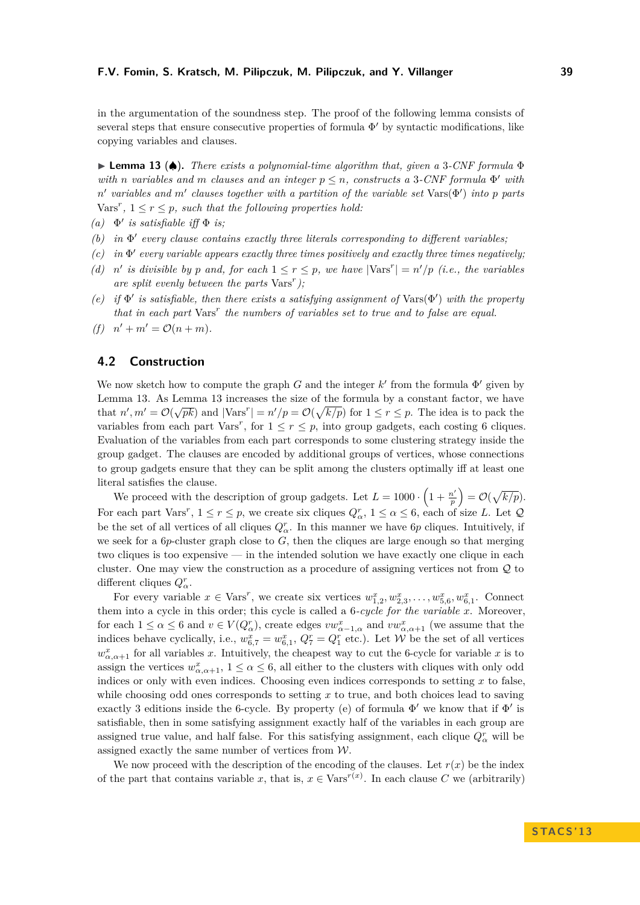in the argumentation of the soundness step. The proof of the following lemma consists of several steps that ensure consecutive properties of formula  $\Phi'$  by syntactic modifications, like copying variables and clauses.

<span id="page-7-0"></span>I **Lemma 13** (♠)**.** *There exists a polynomial-time algorithm that, given a* 3*-CNF formula* Φ *with n variables and m clauses and an integer*  $p \leq n$ *, constructs a* 3*-CNF formula*  $\Phi'$  *with*  $n'$  variables and  $m'$  clauses together with a partition of the variable set  $\text{Vars}(\Phi')$  into p parts  $\text{Vars}^r, 1 \leq r \leq p$ , such that the following properties hold:

 $(a) \Phi'$  *is satisfiable iff*  $\Phi$  *is*;

- $(b)$  *in*  $\Phi'$  every clause contains exactly three literals corresponding to different variables;
- $(c)$  *in*  $\Phi'$  every variable appears exactly three times positively and exactly three times negatively;
- (d) *n'* is divisible by *p* and, for each  $1 \le r \le p$ , we have  $|\text{Vars}^r| = n'/p$  (i.e., the variables *are split evenly between the parts* Vars*<sup>r</sup> );*
- (e) if  $\Phi'$  is satisfiable, then there exists a satisfying assignment of  $\text{Vars}(\Phi')$  with the property *that in each part* Vars*<sup>r</sup> the numbers of variables set to true and to false are equal.*
- *(f)*  $n' + m' = \mathcal{O}(n + m)$ .

### **4.2 Construction**

We now sketch how to compute the graph *G* and the integer  $k'$  from the formula  $\Phi'$  given by Lemma [13.](#page-7-0) As Lemma [13](#page-7-0) increases the size of the formula by a constant factor, we have that  $n', m' = \mathcal{O}(\sqrt{pk})$  and  $|\text{Vars'}| = n'/p = \mathcal{O}(\sqrt{k/p})$  for  $1 \le r \le p$ . The idea is to pack the variables from each part Vars<sup>r</sup>, for  $1 \le r \le p$ , into group gadgets, each costing 6 cliques. Evaluation of the variables from each part corresponds to some clustering strategy inside the group gadget. The clauses are encoded by additional groups of vertices, whose connections to group gadgets ensure that they can be split among the clusters optimally iff at least one literal satisfies the clause.

We proceed with the description of group gadgets. Let  $L = 1000 \cdot \left(1 + \frac{n'}{n}\right)$  $\left(\frac{p'}{p}\right) = \mathcal{O}(\sqrt{k/p}).$ For each part Vars<sup>*r*</sup>,  $1 \le r \le p$ , we create six cliques  $Q^r_\alpha$ ,  $1 \le \alpha \le 6$ , each of size *L*. Let  $\mathcal Q$ be the set of all vertices of all cliques  $Q^r_\alpha$ . In this manner we have 6*p* cliques. Intuitively, if we seek for a  $6p$ -cluster graph close to  $G$ , then the cliques are large enough so that merging two cliques is too expensive — in the intended solution we have exactly one clique in each cluster. One may view the construction as a procedure of assigning vertices not from Q to different cliques  $Q^r_\alpha$ .

For every variable  $x \in \text{Vars}^r$ , we create six vertices  $w_{1,2}^x, w_{2,3}^x, \ldots, w_{5,6}^x, w_{6,1}^x$ . Connect them into a cycle in this order; this cycle is called a 6*-cycle for the variable x*. Moreover, for each  $1 \le \alpha \le 6$  and  $v \in V(Q_{\alpha}^r)$ , create edges  $vw_{\alpha-1,\alpha}^x$  and  $vw_{\alpha,\alpha+1}^x$  (we assume that the indices behave cyclically, i.e.,  $w_{6,7}^x = w_{6,1}^x$ ,  $Q_7^r = Q_1^r$  etc.). Let W be the set of all vertices  $w^x_{\alpha,\alpha+1}$  for all variables *x*. Intuitively, the cheapest way to cut the 6-cycle for variable *x* is to assign the vertices  $w^x_{\alpha,\alpha+1}$ ,  $1 \leq \alpha \leq 6$ , all either to the clusters with cliques with only odd indices or only with even indices. Choosing even indices corresponds to setting *x* to false, while choosing odd ones corresponds to setting *x* to true, and both choices lead to saving exactly 3 editions inside the 6-cycle. By property (e) of formula  $\Phi'$  we know that if  $\Phi'$  is satisfiable, then in some satisfying assignment exactly half of the variables in each group are assigned true value, and half false. For this satisfying assignment, each clique  $Q^r_\alpha$  will be assigned exactly the same number of vertices from W.

We now proceed with the description of the encoding of the clauses. Let  $r(x)$  be the index of the part that contains variable *x*, that is,  $x \in \text{Vars}^{r(x)}$ . In each clause *C* we (arbitrarily)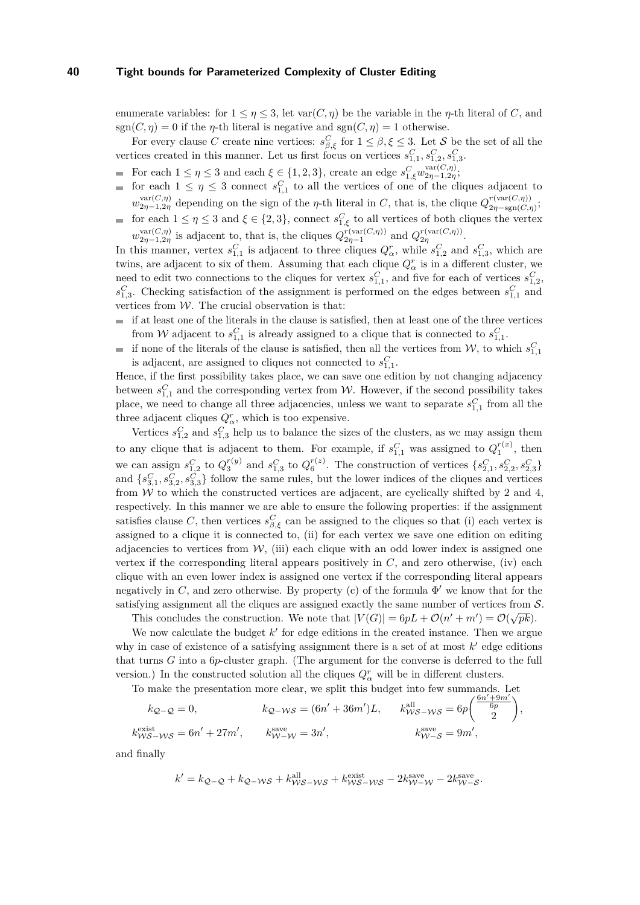enumerate variables: for  $1 \leq \eta \leq 3$ , let var $(C, \eta)$  be the variable in the *η*-th literal of *C*, and sgn( $C, \eta$ ) = 0 if the  $\eta$ -th literal is negative and sgn( $C, \eta$ ) = 1 otherwise.

For every clause *C* create nine vertices:  $s_{\beta,\xi}^C$  for  $1 \leq \beta, \xi \leq 3$ . Let *S* be the set of all the vertices created in this manner. Let us first focus on vertices  $s_{1,1}^C, s_{1,2}^C, s_{1,3}^C$ .

- For each  $1 \leq \eta \leq 3$  and each  $\xi \in \{1, 2, 3\}$ , create an edge  $s_{1,\xi}^C w_{2\eta-1,2\eta}^{\text{var}(C,\eta)}$ .
- for each  $1 \leq \eta \leq 3$  connect  $s_{1,1}^C$  to all the vertices of one of the cliques adjacent to  $w_{2\eta-1,2\eta}^{\text{var}(C,\eta)}$  depending on the sign of the *η*-th literal in *C*, that is, the clique  $Q_{2\eta-\text{sgn}(C,\eta)}^{r(\text{var}(C,\eta))}$  $\frac{\gamma(\text{var}(C,\eta))}{2\eta-\text{sgn}(C,\eta)}$
- for each  $1 \leq \eta \leq 3$  and  $\xi \in \{2,3\}$ , connect  $s_{1,\xi}^C$  to all vertices of both cliques the vertex  $w_{2\eta-1,2\eta}^{\text{var}(C,\eta)}$  is adjacent to, that is, the cliques  $Q_{2\eta-1}^{r(\text{var}(C,\eta))}$  and  $Q_{2\eta}^{r(\text{var}(C,\eta))}$ .

In this manner, vertex  $s_{1,1}^C$  is adjacent to three cliques  $Q^r_\alpha$ , while  $s_{1,2}^C$  and  $s_{1,3}^C$ , which are twins, are adjacent to six of them. Assuming that each clique  $Q^r_\alpha$  is in a different cluster, we need to edit two connections to the cliques for vertex  $s_{1,1}^C$ , and five for each of vertices  $s_{1,2}^C$ ,  $s_{1,3}^C$ . Checking satisfaction of the assignment is performed on the edges between  $s_{1,1}^C$  and vertices from  $\mathcal W.$  The crucial observation is that:

- $\blacksquare$  if at least one of the literals in the clause is satisfied, then at least one of the three vertices from W adjacent to  $s_{1,1}^C$  is already assigned to a clique that is connected to  $s_{1,1}^C$ .
- if none of the literals of the clause is satisfied, then all the vertices from  $W$ , to which  $s_{1,1}^C$ is adjacent, are assigned to cliques not connected to  $s_{1,1}^C$ .

Hence, if the first possibility takes place, we can save one edition by not changing adjacency between  $s_{1,1}^C$  and the corresponding vertex from W. However, if the second possibility takes place, we need to change all three adjacencies, unless we want to separate  $s_{1,1}^C$  from all the three adjacent cliques  $Q^r_\alpha$ , which is too expensive.

Vertices  $s_{1,2}^C$  and  $s_{1,3}^C$  help us to balance the sizes of the clusters, as we may assign them to any clique that is adjacent to them. For example, if  $s_{1,1}^C$  was assigned to  $Q_1^{r(x)}$ , then we can assign  $s_{1,2}^C$  to  $Q_3^{r(y)}$  and  $s_{1,3}^C$  to  $Q_6^{r(z)}$ . The construction of vertices  $\{s_{2,1}^C, s_{2,2}^C, s_{2,3}^C\}$ and  $\{s_{3,1}^C, s_{3,2}^C, s_{3,3}^C\}$  follow the same rules, but the lower indices of the cliques and vertices from  $W$  to which the constructed vertices are adjacent, are cyclically shifted by 2 and 4, respectively. In this manner we are able to ensure the following properties: if the assignment satisfies clause *C*, then vertices  $s_{\beta,\xi}^C$  can be assigned to the cliques so that (i) each vertex is assigned to a clique it is connected to, (ii) for each vertex we save one edition on editing adjacencies to vertices from  $W$ , (iii) each clique with an odd lower index is assigned one vertex if the corresponding literal appears positively in  $C$ , and zero otherwise, (iv) each clique with an even lower index is assigned one vertex if the corresponding literal appears negatively in  $C$ , and zero otherwise. By property (c) of the formula  $\Phi'$  we know that for the satisfying assignment all the cliques are assigned exactly the same number of vertices from  $S$ .

This concludes the construction. We note that  $|V(G)| = 6pL + \mathcal{O}(n' + m') = \mathcal{O}(\sqrt{pk})$ .

We now calculate the budget  $k'$  for edge editions in the created instance. Then we argue why in case of existence of a satisfying assignment there is a set of at most  $k'$  edge editions that turns *G* into a 6*p*-cluster graph. (The argument for the converse is deferred to the full version.) In the constructed solution all the cliques  $Q^r_\alpha$  will be in different clusters.

To make the presentation more clear, we split this budget into few summands. Let  $\frac{(6n'+9m')}{2}$ 

$$
k_{\mathcal{Q}-\mathcal{Q}} = 0, \qquad k_{\mathcal{Q}-\mathcal{WS}} = (6n' + 36m')L, \qquad k_{\mathcal{WS}-\mathcal{WS}}^{\text{all}} = 6p \left( \frac{6n' + 9m'}{6p} \right),
$$
  
\n
$$
k_{\mathcal{WS}-\mathcal{WS}}^{\text{exist}} = 6n' + 27m', \qquad k_{\mathcal{W}-\mathcal{W}}^{\text{save}} = 3n', \qquad k_{\mathcal{W}-\mathcal{S}}^{\text{save}} = 9m',
$$

and finally

$$
k' = k_{\mathcal{Q}-\mathcal{Q}} + k_{\mathcal{Q}-\mathcal{W}\mathcal{S}} + k_{\mathcal{W}\mathcal{S}-\mathcal{W}\mathcal{S}}^{\text{all}} + k_{\mathcal{W}\mathcal{S}-\mathcal{W}\mathcal{S}}^{\text{exist}} - 2k_{\mathcal{W}-\mathcal{W}}^{\text{save}} - 2k_{\mathcal{W}-\mathcal{S}}^{\text{save}}.
$$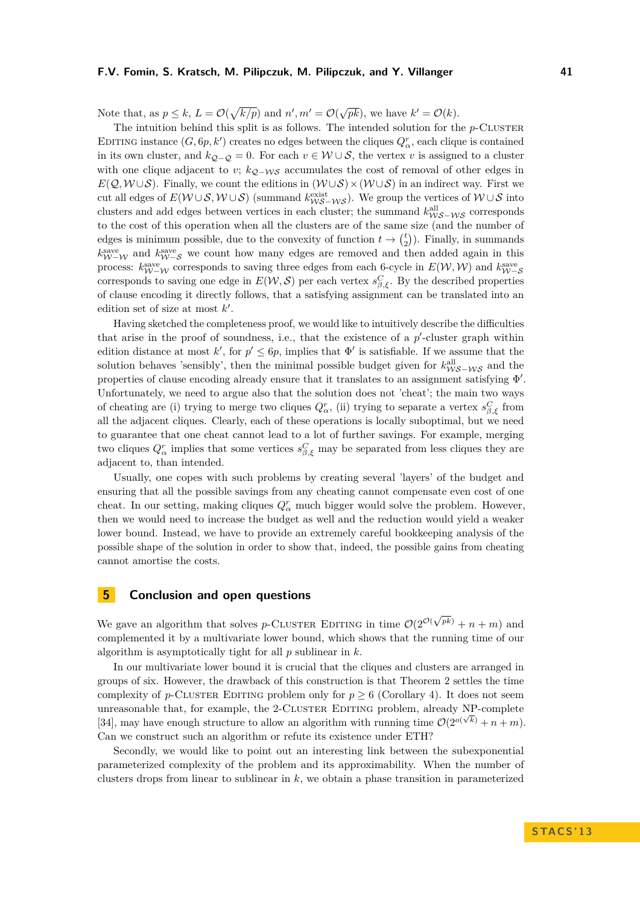Note that, as  $p \leq k$ ,  $L = \mathcal{O}(\sqrt{k/p})$  and  $n', m' = \mathcal{O}(\sqrt{pk})$ , we have  $k' = \mathcal{O}(k)$ .

The intuition behind this split is as follows. The intended solution for the  $p$ -CLUSTER EDITING instance  $(G, 6p, k')$  creates no edges between the cliques  $Q^r_\alpha$ , each clique is contained in its own cluster, and  $k_{Q-Q} = 0$ . For each  $v \in \mathcal{W} \cup \mathcal{S}$ , the vertex *v* is assigned to a cluster with one clique adjacent to *v*;  $k_{Q-WS}$  accumulates the cost of removal of other edges in  $E(Q, W \cup S)$ . Finally, we count the editions in  $(W \cup S) \times (W \cup S)$  in an indirect way. First we cut all edges of  $E(W \cup S, W \cup S)$  (summand  $k_{WS-NS}^{\text{exist}}$ ). We group the vertices of  $W \cup S$  into clusters and add edges between vertices in each cluster; the summand  $k_{\mathcal{WS}-\mathcal{WS}}^{\text{all}}$  corresponds to the cost of this operation when all the clusters are of the same size (and the number of edges is minimum possible, due to the convexity of function  $t \to {t \choose 2}$ . Finally, in summands  $k_{W-W}^{\text{save}}$  and  $k_{W-S}^{\text{save}}$  we count how many edges are removed and then added again in this process:  $k_{W-W}^{\text{save}}$  corresponds to saving three edges from each 6-cycle in  $E(W, W)$  and  $k_{W-S}^{\text{save}}$ corresponds to saving one edge in  $E(\mathcal{W}, \mathcal{S})$  per each vertex  $s_{\beta, \xi}^C$ . By the described properties of clause encoding it directly follows, that a satisfying assignment can be translated into an edition set of size at most  $k'$ .

Having sketched the completeness proof, we would like to intuitively describe the difficulties that arise in the proof of soundness, i.e., that the existence of a  $p'$ -cluster graph within edition distance at most k', for  $p' \leq 6p$ , implies that  $\Phi'$  is satisfiable. If we assume that the solution behaves 'sensibly', then the minimal possible budget given for  $k_{\mathcal{WS}-\mathcal{WS}}^{\text{all}}$  and the properties of clause encoding already ensure that it translates to an assignment satisfying  $\Phi'$ . Unfortunately, we need to argue also that the solution does not 'cheat'; the main two ways of cheating are (i) trying to merge two cliques  $Q^r_\alpha$ , (ii) trying to separate a vertex  $s^C_{\beta,\xi}$  from all the adjacent cliques. Clearly, each of these operations is locally suboptimal, but we need to guarantee that one cheat cannot lead to a lot of further savings. For example, merging two cliques  $Q^r_\alpha$  implies that some vertices  $s^C_{\beta,\xi}$  may be separated from less cliques they are adjacent to, than intended.

Usually, one copes with such problems by creating several 'layers' of the budget and ensuring that all the possible savings from any cheating cannot compensate even cost of one cheat. In our setting, making cliques  $Q^r_\alpha$  much bigger would solve the problem. However, then we would need to increase the budget as well and the reduction would yield a weaker lower bound. Instead, we have to provide an extremely careful bookkeeping analysis of the possible shape of the solution in order to show that, indeed, the possible gains from cheating cannot amortise the costs.

# **5 Conclusion and open questions**

We gave an algorithm that solves *p*-CLUSTER EDITING in time  $\mathcal{O}(2^{\mathcal{O}(n)})$ √  $p^{(pk)}$  + *n* + *m*) and complemented it by a multivariate lower bound, which shows that the running time of our algorithm is asymptotically tight for all *p* sublinear in *k*.

In our multivariate lower bound it is crucial that the cliques and clusters are arranged in groups of six. However, the drawback of this construction is that Theorem [2](#page-3-1) settles the time complexity of *p*-CLUSTER EDITING problem only for  $p > 6$  (Corollary [4\)](#page-3-3). It does not seem unreasonable that, for example, the 2-CLUSTER EDITING problem, already NP-complete [\[34\]](#page-11-2), may have enough structure to allow an algorithm with running time  $O(2^{o(\sqrt{k})} + n + m)$ . Can we construct such an algorithm or refute its existence under ETH?

Secondly, we would like to point out an interesting link between the subexponential parameterized complexity of the problem and its approximability. When the number of clusters drops from linear to sublinear in *k*, we obtain a phase transition in parameterized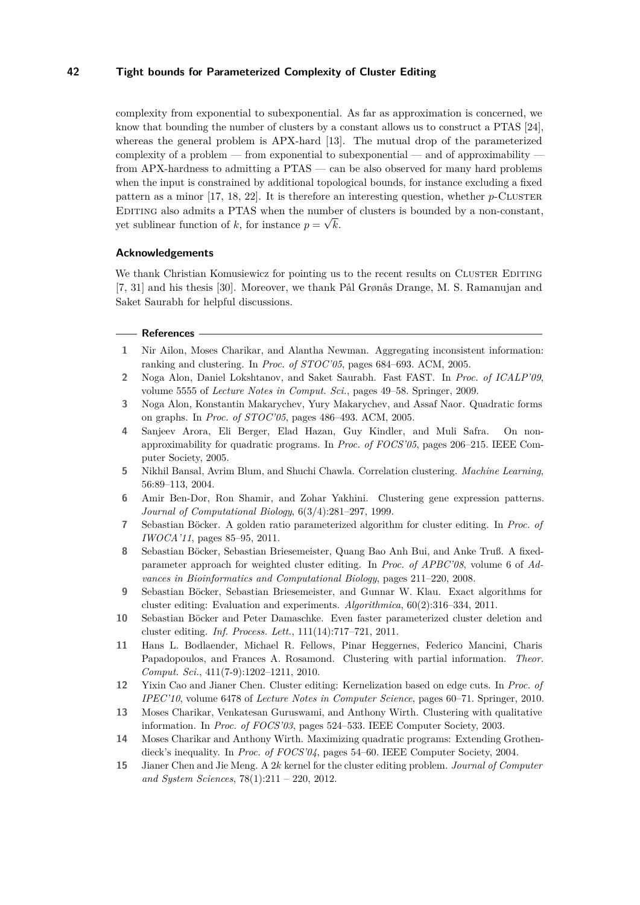complexity from exponential to subexponential. As far as approximation is concerned, we know that bounding the number of clusters by a constant allows us to construct a PTAS [\[24\]](#page-11-1), whereas the general problem is APX-hard [\[13\]](#page-10-5). The mutual drop of the parameterized complexity of a problem — from exponential to subexponential — and of approximability  $\overline{\phantom{a}}$ from APX-hardness to admitting a PTAS — can be also observed for many hard problems when the input is constrained by additional topological bounds, for instance excluding a fixed pattern as a minor  $[17, 18, 22]$  $[17, 18, 22]$  $[17, 18, 22]$  $[17, 18, 22]$  $[17, 18, 22]$ . It is therefore an interesting question, whether  $p$ -CLUSTER EDITING also admits a PTAS when the number of clusters is bounded by a non-constant, yet sublinear function of k, for instance  $p = \sqrt{k}$ .

#### **Acknowledgements**

We thank Christian Komusiewicz for pointing us to the recent results on CLUSTER EDITING [\[7,](#page-10-7) [31\]](#page-11-8) and his thesis [\[30\]](#page-11-16). Moreover, we thank Pål Grønås Drange, M. S. Ramanujan and Saket Saurabh for helpful discussions.

#### **References**

- <span id="page-10-2"></span>**1** Nir Ailon, Moses Charikar, and Alantha Newman. Aggregating inconsistent information: ranking and clustering. In *Proc. of STOC'05*, pages 684–693. ACM, 2005.
- <span id="page-10-14"></span>**2** Noga Alon, Daniel Lokshtanov, and Saket Saurabh. Fast FAST. In *Proc. of ICALP'09*, volume 5555 of *Lecture Notes in Comput. Sci.*, pages 49–58. Springer, 2009.
- <span id="page-10-3"></span>**3** Noga Alon, Konstantin Makarychev, Yury Makarychev, and Assaf Naor. Quadratic forms on graphs. In *Proc. of STOC'05*, pages 486–493. ACM, 2005.
- <span id="page-10-4"></span>**4** Sanjeev Arora, Eli Berger, Elad Hazan, Guy Kindler, and Muli Safra. On nonapproximability for quadratic programs. In *Proc. of FOCS'05*, pages 206–215. IEEE Computer Society, 2005.
- <span id="page-10-1"></span>**5** Nikhil Bansal, Avrim Blum, and Shuchi Chawla. Correlation clustering. *Machine Learning*, 56:89–113, 2004.
- <span id="page-10-0"></span>**6** Amir Ben-Dor, Ron Shamir, and Zohar Yakhini. Clustering gene expression patterns. *Journal of Computational Biology*, 6(3/4):281–297, 1999.
- <span id="page-10-7"></span>**7** Sebastian Böcker. A golden ratio parameterized algorithm for cluster editing. In *Proc. of IWOCA'11*, pages 85–95, 2011.
- <span id="page-10-8"></span>**8** Sebastian Böcker, Sebastian Briesemeister, Quang Bao Anh Bui, and Anke Truß. A fixedparameter approach for weighted cluster editing. In *Proc. of APBC'08*, volume 6 of *Advances in Bioinformatics and Computational Biology*, pages 211–220, 2008.
- <span id="page-10-9"></span>**9** Sebastian Böcker, Sebastian Briesemeister, and Gunnar W. Klau. Exact algorithms for cluster editing: Evaluation and experiments. *Algorithmica*, 60(2):316–334, 2011.
- <span id="page-10-10"></span>**10** Sebastian Böcker and Peter Damaschke. Even faster parameterized cluster deletion and cluster editing. *Inf. Process. Lett.*, 111(14):717–721, 2011.
- <span id="page-10-11"></span>**11** Hans L. Bodlaender, Michael R. Fellows, Pinar Heggernes, Federico Mancini, Charis Papadopoulos, and Frances A. Rosamond. Clustering with partial information. *Theor. Comput. Sci.*, 411(7-9):1202–1211, 2010.
- <span id="page-10-12"></span>**12** Yixin Cao and Jianer Chen. Cluster editing: Kernelization based on edge cuts. In *Proc. of IPEC'10*, volume 6478 of *Lecture Notes in Computer Science*, pages 60–71. Springer, 2010.
- <span id="page-10-5"></span>**13** Moses Charikar, Venkatesan Guruswami, and Anthony Wirth. Clustering with qualitative information. In *Proc. of FOCS'03*, pages 524–533. IEEE Computer Society, 2003.
- <span id="page-10-6"></span>**14** Moses Charikar and Anthony Wirth. Maximizing quadratic programs: Extending Grothendieck's inequality. In *Proc. of FOCS'04*, pages 54–60. IEEE Computer Society, 2004.
- <span id="page-10-13"></span>**15** Jianer Chen and Jie Meng. A 2*k* kernel for the cluster editing problem. *Journal of Computer and System Sciences*, 78(1):211 – 220, 2012.